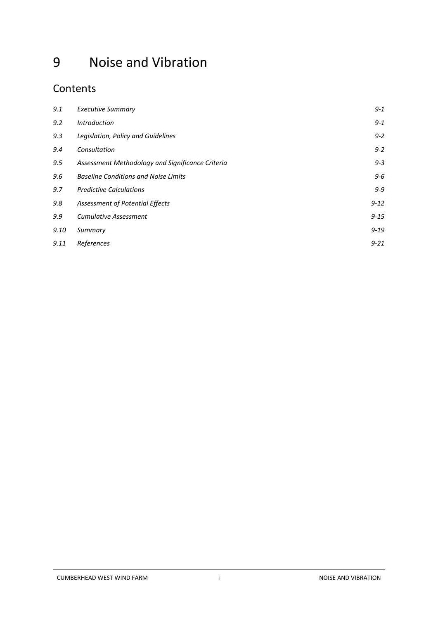# 9 Noise and Vibration

# **Contents**

| 9.1  | <b>Executive Summary</b>                         | $9 - 1$  |
|------|--------------------------------------------------|----------|
| 9.2  | <b>Introduction</b>                              | $9 - 1$  |
| 9.3  | Legislation, Policy and Guidelines               | $9 - 2$  |
| 9.4  | Consultation                                     | $9 - 2$  |
| 9.5  | Assessment Methodology and Significance Criteria | $9 - 3$  |
| 9.6  | <b>Baseline Conditions and Noise Limits</b>      | $9 - 6$  |
| 9.7  | <b>Predictive Calculations</b>                   | $9 - 9$  |
| 9.8  | Assessment of Potential Effects                  | $9 - 12$ |
| 9.9  | <b>Cumulative Assessment</b>                     | $9 - 15$ |
| 9.10 | Summary                                          | $9 - 19$ |
| 9.11 | References                                       | $9 - 21$ |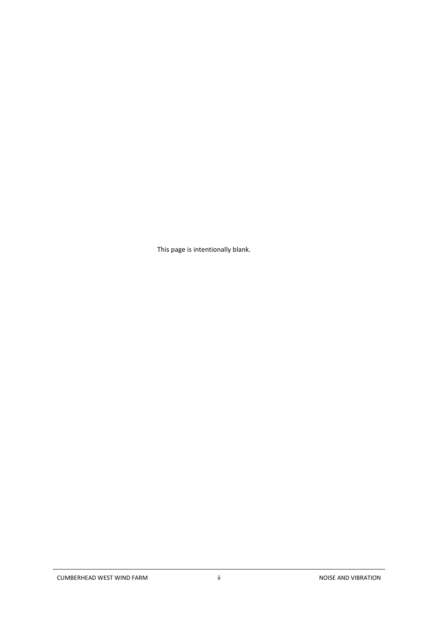This page is intentionally blank.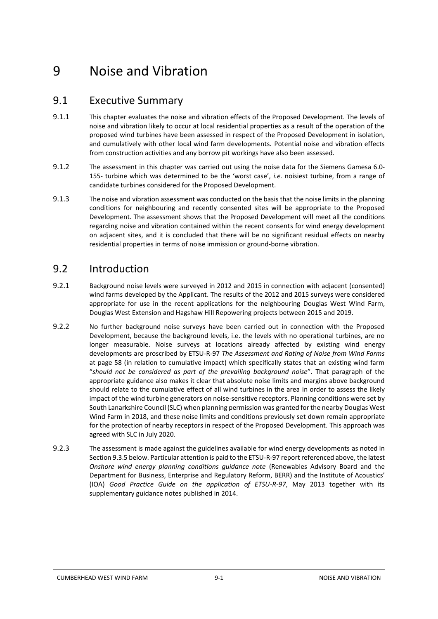# 9 Noise and Vibration

### <span id="page-2-0"></span>9.1 Executive Summary

- 9.1.1 This chapter evaluates the noise and vibration effects of the Proposed Development. The levels of noise and vibration likely to occur at local residential properties as a result of the operation of the proposed wind turbines have been assessed in respect of the Proposed Development in isolation, and cumulatively with other local wind farm developments. Potential noise and vibration effects from construction activities and any borrow pit workings have also been assessed.
- 9.1.2 The assessment in this chapter was carried out using the noise data for the Siemens Gamesa 6.0- 155- turbine which was determined to be the 'worst case', *i.e.* noisiest turbine, from a range of candidate turbines considered for the Proposed Development.
- 9.1.3 The noise and vibration assessment was conducted on the basis that the noise limits in the planning conditions for neighbouring and recently consented sites will be appropriate to the Proposed Development. The assessment shows that the Proposed Development will meet all the conditions regarding noise and vibration contained within the recent consents for wind energy development on adjacent sites, and it is concluded that there will be no significant residual effects on nearby residential properties in terms of noise immission or ground-borne vibration.

## <span id="page-2-1"></span>9.2 Introduction

- 9.2.1 Background noise levels were surveyed in 2012 and 2015 in connection with adjacent (consented) wind farms developed by the Applicant. The results of the 2012 and 2015 surveys were considered appropriate for use in the recent applications for the neighbouring Douglas West Wind Farm, Douglas West Extension and Hagshaw Hill Repowering projects between 2015 and 2019.
- 9.2.2 No further background noise surveys have been carried out in connection with the Proposed Development, because the background levels, i.e. the levels with no operational turbines, are no longer measurable. Noise surveys at locations already affected by existing wind energy developments are proscribed by ETSU-R-97 *The Assessment and Rating of Noise from Wind Farms* at page 58 (in relation to cumulative impact) which specifically states that an existing wind farm "*should not be considered as part of the prevailing background noise*". That paragraph of the appropriate guidance also makes it clear that absolute noise limits and margins above background should relate to the cumulative effect of all wind turbines in the area in order to assess the likely impact of the wind turbine generators on noise-sensitive receptors. Planning conditions were set by South Lanarkshire Council (SLC) when planning permission was granted for the nearby Douglas West Wind Farm in 2018, and these noise limits and conditions previously set down remain appropriate for the protection of nearby receptors in respect of the Proposed Development. This approach was agreed with SLC in July 2020.
- 9.2.3 The assessment is made against the guidelines available for wind energy developments as noted in Section 9.3.5 below. Particular attention is paid to the ETSU-R-97 report referenced above, the latest *Onshore wind energy planning conditions guidance note* (Renewables Advisory Board and the Department for Business, Enterprise and Regulatory Reform, BERR) and the Institute of Acoustics' (IOA) *Good Practice Guide on the application of ETSU-R-97*, May 2013 together with its supplementary guidance notes published in 2014.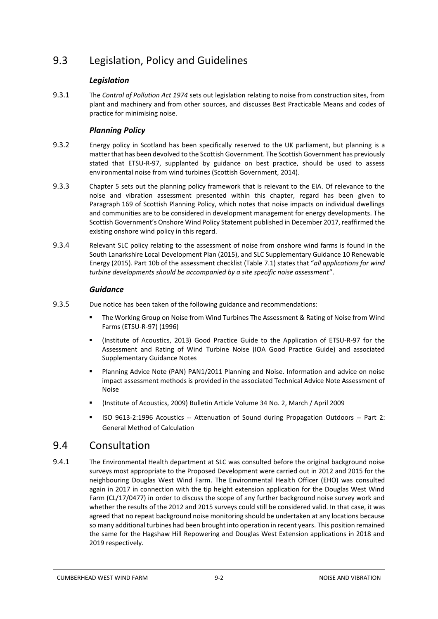# <span id="page-3-0"></span>9.3 Legislation, Policy and Guidelines

#### *Legislation*

9.3.1 The *Control of Pollution Act 1974* sets out legislation relating to noise from construction sites, from plant and machinery and from other sources, and discusses Best Practicable Means and codes of practice for minimising noise.

#### *Planning Policy*

- 9.3.2 Energy policy in Scotland has been specifically reserved to the UK parliament, but planning is a matter that has been devolved to the Scottish Government. The Scottish Government has previously stated that ETSU-R-97, supplanted by guidance on best practice, should be used to assess environmental noise from wind turbines (Scottish Government, 2014).
- 9.3.3 Chapter 5 sets out the planning policy framework that is relevant to the EIA. Of relevance to the noise and vibration assessment presented within this chapter, regard has been given to Paragraph 169 of Scottish Planning Policy, which notes that noise impacts on individual dwellings and communities are to be considered in development management for energy developments. The Scottish Government's Onshore Wind Policy Statement published in December 2017, reaffirmed the existing onshore wind policy in this regard.
- 9.3.4 Relevant SLC policy relating to the assessment of noise from onshore wind farms is found in the South Lanarkshire Local Development Plan (2015), and SLC Supplementary Guidance 10 Renewable Energy (2015). Part 10b of the assessment checklist (Table 7.1) states that "*all applications for wind turbine developments should be accompanied by a site specific noise assessment*".

#### *Guidance*

- 9.3.5 Due notice has been taken of the following guidance and recommendations:
	- The Working Group on Noise from Wind Turbines The Assessment & Rating of Noise from Wind Farms (ETSU-R-97) (1996)
	- (Institute of Acoustics, 2013) Good Practice Guide to the Application of ETSU-R-97 for the Assessment and Rating of Wind Turbine Noise (IOA Good Practice Guide) and associated Supplementary Guidance Notes
	- Planning Advice Note (PAN) PAN1/2011 Planning and Noise. Information and advice on noise impact assessment methods is provided in the associated Technical Advice Note Assessment of Noise
	- (Institute of Acoustics, 2009) Bulletin Article Volume 34 No. 2, March / April 2009
	- ISO 9613-2:1996 Acoustics -- Attenuation of Sound during Propagation Outdoors -- Part 2: General Method of Calculation

### <span id="page-3-1"></span>9.4 Consultation

9.4.1 The Environmental Health department at SLC was consulted before the original background noise surveys most appropriate to the Proposed Development were carried out in 2012 and 2015 for the neighbouring Douglas West Wind Farm. The Environmental Health Officer (EHO) was consulted again in 2017 in connection with the tip height extension application for the Douglas West Wind Farm (CL/17/0477) in order to discuss the scope of any further background noise survey work and whether the results of the 2012 and 2015 surveys could still be considered valid. In that case, it was agreed that no repeat background noise monitoring should be undertaken at any locations because so many additional turbines had been brought into operation in recent years. This position remained the same for the Hagshaw Hill Repowering and Douglas West Extension applications in 2018 and 2019 respectively.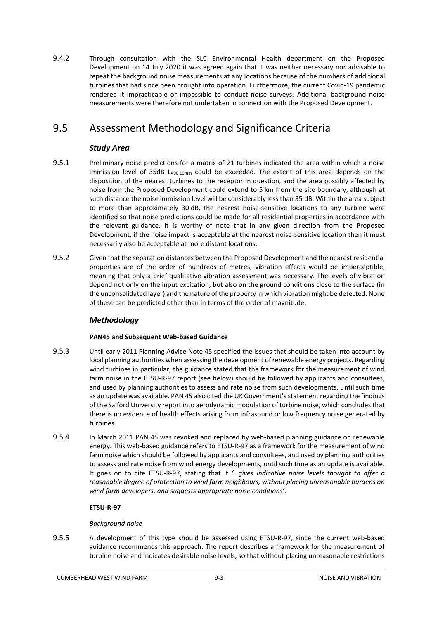9.4.2 Through consultation with the SLC Environmental Health department on the Proposed Development on 14 July 2020 it was agreed again that it was neither necessary nor advisable to repeat the background noise measurements at any locations because of the numbers of additional turbines that had since been brought into operation. Furthermore, the current Covid-19 pandemic rendered it impracticable or impossible to conduct noise surveys. Additional background noise measurements were therefore not undertaken in connection with the Proposed Development.

# <span id="page-4-0"></span>9.5 Assessment Methodology and Significance Criteria

#### *Study Area*

- 9.5.1 Preliminary noise predictions for a matrix of 21 turbines indicated the area within which a noise immission level of 35dB LA90,10min could be exceeded. The extent of this area depends on the disposition of the nearest turbines to the receptor in question, and the area possibly affected by noise from the Proposed Development could extend to 5 km from the site boundary, although at such distance the noise immission level will be considerably less than 35 dB. Within the area subject to more than approximately 30 dB, the nearest noise-sensitive locations to any turbine were identified so that noise predictions could be made for all residential properties in accordance with the relevant guidance. It is worthy of note that in any given direction from the Proposed Development, if the noise impact is acceptable at the nearest noise-sensitive location then it must necessarily also be acceptable at more distant locations.
- 9.5.2 Given that the separation distances between the Proposed Development and the nearest residential properties are of the order of hundreds of metres, vibration effects would be imperceptible, meaning that only a brief qualitative vibration assessment was necessary. The levels of vibration depend not only on the input excitation, but also on the ground conditions close to the surface (in the unconsolidated layer) and the nature of the property in which vibration might be detected. None of these can be predicted other than in terms of the order of magnitude.

#### *Methodology*

#### **PAN45 and Subsequent Web-based Guidance**

- 9.5.3 Until early 2011 Planning Advice Note 45 specified the issues that should be taken into account by local planning authorities when assessing the development of renewable energy projects. Regarding wind turbines in particular, the guidance stated that the framework for the measurement of wind farm noise in the ETSU-R-97 report (see below) should be followed by applicants and consultees, and used by planning authorities to assess and rate noise from such developments, until such time as an update was available. PAN 45 also cited the UK Government's statement regarding the findings of the Salford University report into aerodynamic modulation of turbine noise, which concludes that there is no evidence of health effects arising from infrasound or low frequency noise generated by turbines.
- 9.5.4 In March 2011 PAN 45 was revoked and replaced by web-based planning guidance on renewable energy. This web-based guidance refers to ETSU-R-97 as a framework for the measurement of wind farm noise which should be followed by applicants and consultees, and used by planning authorities to assess and rate noise from wind energy developments, until such time as an update is available. It goes on to cite ETSU-R-97, stating that it *'…gives indicative noise levels thought to offer a reasonable degree of protection to wind farm neighbours, without placing unreasonable burdens on wind farm developers, and suggests appropriate noise conditions'*.

#### **ETSU-R-97**

#### *Background noise*

9.5.5 A development of this type should be assessed using ETSU-R-97, since the current web-based guidance recommends this approach. The report describes a framework for the measurement of turbine noise and indicates desirable noise levels, so that without placing unreasonable restrictions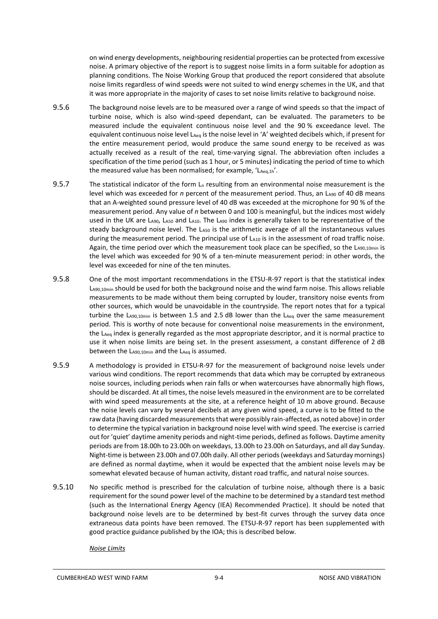on wind energy developments, neighbouring residential properties can be protected from excessive noise. A primary objective of the report is to suggest noise limits in a form suitable for adoption as planning conditions. The Noise Working Group that produced the report considered that absolute noise limits regardless of wind speeds were not suited to wind energy schemes in the UK, and that it was more appropriate in the majority of cases to set noise limits relative to background noise.

- 9.5.6 The background noise levels are to be measured over a range of wind speeds so that the impact of turbine noise, which is also wind-speed dependant, can be evaluated. The parameters to be measured include the equivalent continuous noise level and the 90 % exceedance level. The equivalent continuous noise level LAeq is the noise level in 'A' weighted decibels which, if present for the entire measurement period, would produce the same sound energy to be received as was actually received as a result of the real, time-varying signal. The abbreviation often includes a specification of the time period (such as 1 hour, or 5 minutes) indicating the period of time to which the measured value has been normalised; for example, 'LAeq,1h'.
- 9.5.7 The statistical indicator of the form  $L_n$  resulting from an environmental noise measurement is the level which was exceeded for *n* percent of the measurement period. Thus, an LA90 of 40 dB means that an A-weighted sound pressure level of 40 dB was exceeded at the microphone for 90 % of the measurement period. Any value of *n* between 0 and 100 is meaningful, but the indices most widely used in the UK are LA90, LA50 and LA10. The LA90 index is generally taken to be representative of the steady background noise level. The LA<sub>50</sub> is the arithmetic average of all the instantaneous values during the measurement period. The principal use of L<sub>A10</sub> is in the assessment of road traffic noise. Again, the time period over which the measurement took place can be specified, so the  $L_{A90,10min}$  is the level which was exceeded for 90 % of a ten-minute measurement period: in other words, the level was exceeded for nine of the ten minutes.
- 9.5.8 One of the most important recommendations in the ETSU-R-97 report is that the statistical index LA90,10min should be used for both the background noise and the wind farm noise. This allows reliable measurements to be made without them being corrupted by louder, transitory noise events from other sources, which would be unavoidable in the countryside. The report notes that for a typical turbine the LA90,10min is between 1.5 and 2.5 dB lower than the LAeq over the same measurement period. This is worthy of note because for conventional noise measurements in the environment, the LAeq index is generally regarded as the most appropriate descriptor, and it is normal practice to use it when noise limits are being set. In the present assessment, a constant difference of 2 dB between the LA90,10min and the LAeq is assumed.
- 9.5.9 A methodology is provided in ETSU-R-97 for the measurement of background noise levels under various wind conditions. The report recommends that data which may be corrupted by extraneous noise sources, including periods when rain falls or when watercourses have abnormally high flows, should be discarded. At all times, the noise levels measured in the environment are to be correlated with wind speed measurements at the site, at a reference height of 10 m above ground. Because the noise levels can vary by several decibels at any given wind speed, a curve is to be fitted to the raw data (having discarded measurements that were possibly rain-affected, as noted above) in order to determine the typical variation in background noise level with wind speed. The exercise is carried out for 'quiet' daytime amenity periods and night-time periods, defined as follows. Daytime amenity periods are from 18.00h to 23.00h on weekdays, 13.00h to 23.00h on Saturdays, and all day Sunday. Night-time is between 23.00h and 07.00h daily. All other periods (weekdays and Saturday mornings) are defined as normal daytime, when it would be expected that the ambient noise levels may be somewhat elevated because of human activity, distant road traffic, and natural noise sources.
- 9.5.10 No specific method is prescribed for the calculation of turbine noise, although there is a basic requirement for the sound power level of the machine to be determined by a standard test method (such as the International Energy Agency (IEA) Recommended Practice). It should be noted that background noise levels are to be determined by best-fit curves through the survey data once extraneous data points have been removed. The ETSU-R-97 report has been supplemented with good practice guidance published by the IOA; this is described below.

*Noise Limits*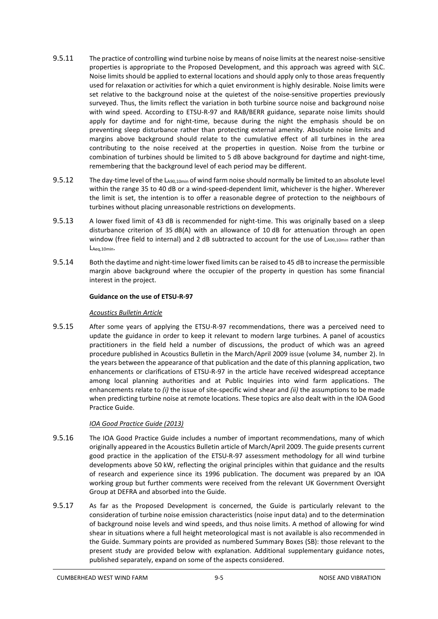- 9.5.11 The practice of controlling wind turbine noise by means of noise limits at the nearest noise-sensitive properties is appropriate to the Proposed Development, and this approach was agreed with SLC. Noise limits should be applied to external locations and should apply only to those areas frequently used for relaxation or activities for which a quiet environment is highly desirable. Noise limits were set relative to the background noise at the quietest of the noise-sensitive properties previously surveyed. Thus, the limits reflect the variation in both turbine source noise and background noise with wind speed. According to ETSU-R-97 and RAB/BERR guidance, separate noise limits should apply for daytime and for night-time, because during the night the emphasis should be on preventing sleep disturbance rather than protecting external amenity. Absolute noise limits and margins above background should relate to the cumulative effect of all turbines in the area contributing to the noise received at the properties in question. Noise from the turbine or combination of turbines should be limited to 5 dB above background for daytime and night-time, remembering that the background level of each period may be different.
- 9.5.12 The day-time level of the LA90,10min of wind farm noise should normally be limited to an absolute level within the range 35 to 40 dB or a wind-speed-dependent limit, whichever is the higher. Wherever the limit is set, the intention is to offer a reasonable degree of protection to the neighbours of turbines without placing unreasonable restrictions on developments.
- 9.5.13 A lower fixed limit of 43 dB is recommended for night-time. This was originally based on a sleep disturbance criterion of 35 dB(A) with an allowance of 10 dB for attenuation through an open window (free field to internal) and 2 dB subtracted to account for the use of LA90.10min rather than LAeq,10min.
- 9.5.14 Both the daytime and night-time lower fixed limits can be raised to 45 dB to increase the permissible margin above background where the occupier of the property in question has some financial interest in the project.

#### **Guidance on the use of ETSU-R-97**

#### *Acoustics Bulletin Article*

9.5.15 After some years of applying the ETSU-R-97 recommendations, there was a perceived need to update the guidance in order to keep it relevant to modern large turbines. A panel of acoustics practitioners in the field held a number of discussions, the product of which was an agreed procedure published in Acoustics Bulletin in the March/April 2009 issue (volume 34, number 2). In the years between the appearance of that publication and the date of this planning application, two enhancements or clarifications of ETSU-R-97 in the article have received widespread acceptance among local planning authorities and at Public Inquiries into wind farm applications. The enhancements relate to *(i)* the issue of site-specific wind shear and *(ii)* the assumptions to be made when predicting turbine noise at remote locations. These topics are also dealt with in the IOA Good Practice Guide.

#### *IOA Good Practice Guide (2013)*

- 9.5.16 The IOA Good Practice Guide includes a number of important recommendations, many of which originally appeared in the Acoustics Bulletin article of March/April 2009. The guide presents current good practice in the application of the ETSU-R-97 assessment methodology for all wind turbine developments above 50 kW, reflecting the original principles within that guidance and the results of research and experience since its 1996 publication. The document was prepared by an IOA working group but further comments were received from the relevant UK Government Oversight Group at DEFRA and absorbed into the Guide.
- 9.5.17 As far as the Proposed Development is concerned, the Guide is particularly relevant to the consideration of turbine noise emission characteristics (noise input data) and to the determination of background noise levels and wind speeds, and thus noise limits. A method of allowing for wind shear in situations where a full height meteorological mast is not available is also recommended in the Guide. Summary points are provided as numbered Summary Boxes (SB): those relevant to the present study are provided below with explanation. Additional supplementary guidance notes, published separately, expand on some of the aspects considered.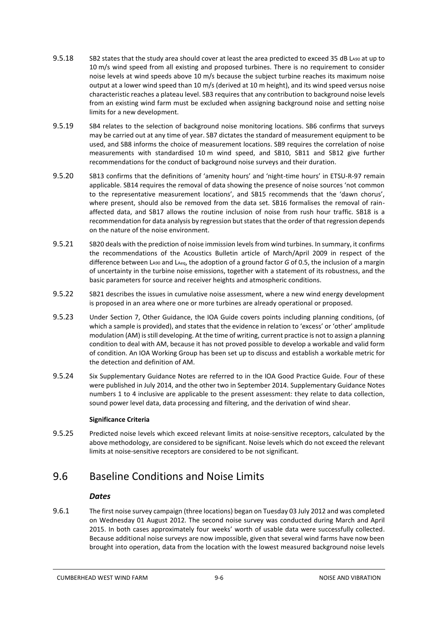- 9.5.18 SB2 states that the study area should cover at least the area predicted to exceed 35 dB LA90 at up to 10 m/s wind speed from all existing and proposed turbines. There is no requirement to consider noise levels at wind speeds above 10 m/s because the subject turbine reaches its maximum noise output at a lower wind speed than 10 m/s (derived at 10 m height), and its wind speed versus noise characteristic reaches a plateau level. SB3 requires that any contribution to background noise levels from an existing wind farm must be excluded when assigning background noise and setting noise limits for a new development.
- 9.5.19 SB4 relates to the selection of background noise monitoring locations. SB6 confirms that surveys may be carried out at any time of year. SB7 dictates the standard of measurement equipment to be used, and SB8 informs the choice of measurement locations. SB9 requires the correlation of noise measurements with standardised 10 m wind speed, and SB10, SB11 and SB12 give further recommendations for the conduct of background noise surveys and their duration.
- 9.5.20 SB13 confirms that the definitions of 'amenity hours' and 'night-time hours' in ETSU-R-97 remain applicable. SB14 requires the removal of data showing the presence of noise sources 'not common to the representative measurement locations', and SB15 recommends that the 'dawn chorus', where present, should also be removed from the data set. SB16 formalises the removal of rainaffected data, and SB17 allows the routine inclusion of noise from rush hour traffic. SB18 is a recommendation for data analysis by regression but states that the order of that regression depends on the nature of the noise environment.
- 9.5.21 SB20 deals with the prediction of noise immission levels from wind turbines. In summary, it confirms the recommendations of the Acoustics Bulletin article of March/April 2009 in respect of the difference between L<sub>A90</sub> and L<sub>Aeg</sub>, the adoption of a ground factor *G* of 0.5, the inclusion of a margin of uncertainty in the turbine noise emissions, together with a statement of its robustness, and the basic parameters for source and receiver heights and atmospheric conditions.
- 9.5.22 SB21 describes the issues in cumulative noise assessment, where a new wind energy development is proposed in an area where one or more turbines are already operational or proposed.
- 9.5.23 Under Section 7, Other Guidance, the IOA Guide covers points including planning conditions, (of which a sample is provided), and states that the evidence in relation to 'excess' or 'other' amplitude modulation (AM) is still developing. At the time of writing, current practice is not to assign a planning condition to deal with AM, because it has not proved possible to develop a workable and valid form of condition. An IOA Working Group has been set up to discuss and establish a workable metric for the detection and definition of AM.
- 9.5.24 Six Supplementary Guidance Notes are referred to in the IOA Good Practice Guide. Four of these were published in July 2014, and the other two in September 2014. Supplementary Guidance Notes numbers 1 to 4 inclusive are applicable to the present assessment: they relate to data collection, sound power level data, data processing and filtering, and the derivation of wind shear.

#### **Significance Criteria**

9.5.25 Predicted noise levels which exceed relevant limits at noise-sensitive receptors, calculated by the above methodology, are considered to be significant. Noise levels which do not exceed the relevant limits at noise-sensitive receptors are considered to be not significant.

# <span id="page-7-0"></span>9.6 Baseline Conditions and Noise Limits

#### *Dates*

9.6.1 The first noise survey campaign (three locations) began on Tuesday 03 July 2012 and was completed on Wednesday 01 August 2012. The second noise survey was conducted during March and April 2015. In both cases approximately four weeks' worth of usable data were successfully collected. Because additional noise surveys are now impossible, given that several wind farms have now been brought into operation, data from the location with the lowest measured background noise levels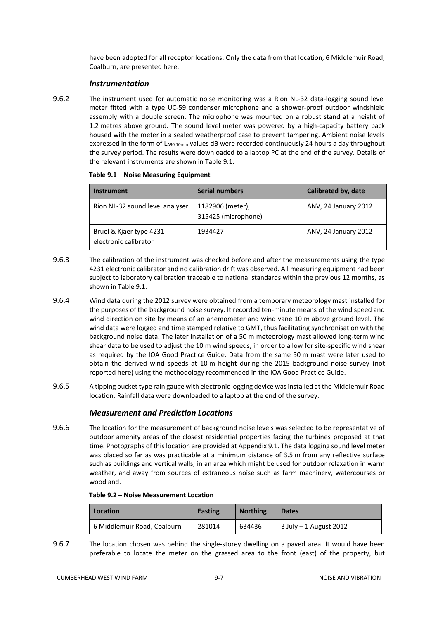have been adopted for all receptor locations. Only the data from that location, 6 Middlemuir Road, Coalburn, are presented here.

#### *Instrumentation*

9.6.2 The instrument used for automatic noise monitoring was a Rion NL-32 data-logging sound level meter fitted with a type UC-59 condenser microphone and a shower-proof outdoor windshield assembly with a double screen. The microphone was mounted on a robust stand at a height of 1.2 metres above ground. The sound level meter was powered by a high-capacity battery pack housed with the meter in a sealed weatherproof case to prevent tampering. Ambient noise levels expressed in the form of LA90,10min values dB were recorded continuously 24 hours a day throughout the survey period. The results were downloaded to a laptop PC at the end of the survey. Details of the relevant instruments are shown in Table 9.1.

#### **Table 9.1 – Noise Measuring Equipment**

| Instrument                                       | <b>Serial numbers</b>                   | Calibrated by, date  |
|--------------------------------------------------|-----------------------------------------|----------------------|
| Rion NL-32 sound level analyser                  | 1182906 (meter),<br>315425 (microphone) | ANV, 24 January 2012 |
| Bruel & Kjaer type 4231<br>electronic calibrator | 1934427                                 | ANV, 24 January 2012 |

- 9.6.3 The calibration of the instrument was checked before and after the measurements using the type 4231 electronic calibrator and no calibration drift was observed. All measuring equipment had been subject to laboratory calibration traceable to national standards within the previous 12 months, as shown in Table 9.1.
- 9.6.4 Wind data during the 2012 survey were obtained from a temporary meteorology mast installed for the purposes of the background noise survey. It recorded ten-minute means of the wind speed and wind direction on site by means of an anemometer and wind vane 10 m above ground level. The wind data were logged and time stamped relative to GMT, thus facilitating synchronisation with the background noise data. The later installation of a 50 m meteorology mast allowed long-term wind shear data to be used to adjust the 10 m wind speeds, in order to allow for site-specific wind shear as required by the IOA Good Practice Guide. Data from the same 50 m mast were later used to obtain the derived wind speeds at 10 m height during the 2015 background noise survey (not reported here) using the methodology recommended in the IOA Good Practice Guide.
- 9.6.5 A tipping bucket type rain gauge with electronic logging device was installed at the Middlemuir Road location. Rainfall data were downloaded to a laptop at the end of the survey.

#### *Measurement and Prediction Locations*

9.6.6 The location for the measurement of background noise levels was selected to be representative of outdoor amenity areas of the closest residential properties facing the turbines proposed at that time. Photographs of this location are provided at Appendix 9.1. The data logging sound level meter was placed so far as was practicable at a minimum distance of 3.5 m from any reflective surface such as buildings and vertical walls, in an area which might be used for outdoor relaxation in warm weather, and away from sources of extraneous noise such as farm machinery, watercourses or woodland.

| Location                    | Easting | <b>Northing</b> | <b>Dates</b>           |
|-----------------------------|---------|-----------------|------------------------|
| 6 Middlemuir Road, Coalburn | 281014  | 634436          | 3 July – 1 August 2012 |

#### **Table 9.2 – Noise Measurement Location**

9.6.7 The location chosen was behind the single-storey dwelling on a paved area. It would have been preferable to locate the meter on the grassed area to the front (east) of the property, but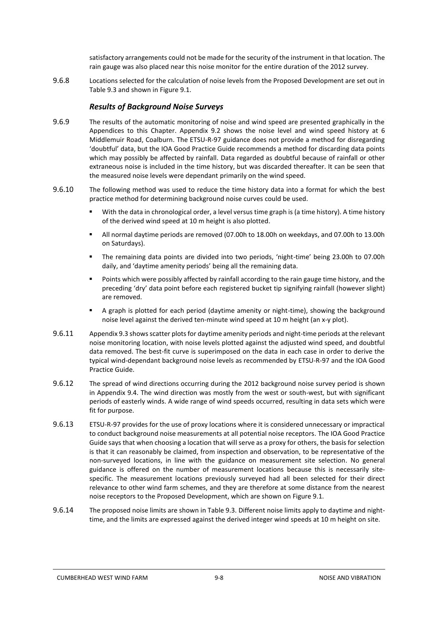satisfactory arrangements could not be made for the security of the instrument in that location. The rain gauge was also placed near this noise monitor for the entire duration of the 2012 survey.

9.6.8 Locations selected for the calculation of noise levels from the Proposed Development are set out in Table 9.3 and shown in Figure 9.1.

#### *Results of Background Noise Surveys*

- 9.6.9 The results of the automatic monitoring of noise and wind speed are presented graphically in the Appendices to this Chapter. Appendix 9.2 shows the noise level and wind speed history at 6 Middlemuir Road, Coalburn. The ETSU-R-97 guidance does not provide a method for disregarding 'doubtful' data, but the IOA Good Practice Guide recommends a method for discarding data points which may possibly be affected by rainfall. Data regarded as doubtful because of rainfall or other extraneous noise is included in the time history, but was discarded thereafter. It can be seen that the measured noise levels were dependant primarily on the wind speed.
- 9.6.10 The following method was used to reduce the time history data into a format for which the best practice method for determining background noise curves could be used.
	- **■** With the data in chronological order, a level versus time graph is (a time history). A time history of the derived wind speed at 10 m height is also plotted.
	- All normal daytime periods are removed (07.00h to 18.00h on weekdays, and 07.00h to 13.00h on Saturdays).
	- The remaining data points are divided into two periods, 'night-time' being 23.00h to 07.00h daily, and 'daytime amenity periods' being all the remaining data.
	- Points which were possibly affected by rainfall according to the rain gauge time history, and the preceding 'dry' data point before each registered bucket tip signifying rainfall (however slight) are removed.
	- A graph is plotted for each period (daytime amenity or night-time), showing the background noise level against the derived ten-minute wind speed at 10 m height (an x-y plot).
- 9.6.11 Appendix 9.3 shows scatter plots for daytime amenity periods and night-time periods at the relevant noise monitoring location, with noise levels plotted against the adjusted wind speed, and doubtful data removed. The best-fit curve is superimposed on the data in each case in order to derive the typical wind-dependant background noise levels as recommended by ETSU-R-97 and the IOA Good Practice Guide.
- 9.6.12 The spread of wind directions occurring during the 2012 background noise survey period is shown in Appendix 9.4. The wind direction was mostly from the west or south-west, but with significant periods of easterly winds. A wide range of wind speeds occurred, resulting in data sets which were fit for purpose.
- 9.6.13 ETSU-R-97 provides for the use of proxy locations where it is considered unnecessary or impractical to conduct background noise measurements at all potential noise receptors. The IOA Good Practice Guide says that when choosing a location that will serve as a proxy for others, the basis for selection is that it can reasonably be claimed, from inspection and observation, to be representative of the non-surveyed locations, in line with the guidance on measurement site selection. No general guidance is offered on the number of measurement locations because this is necessarily sitespecific. The measurement locations previously surveyed had all been selected for their direct relevance to other wind farm schemes, and they are therefore at some distance from the nearest noise receptors to the Proposed Development, which are shown on Figure 9.1.
- 9.6.14 The proposed noise limits are shown in Table 9.3. Different noise limits apply to daytime and nighttime, and the limits are expressed against the derived integer wind speeds at 10 m height on site.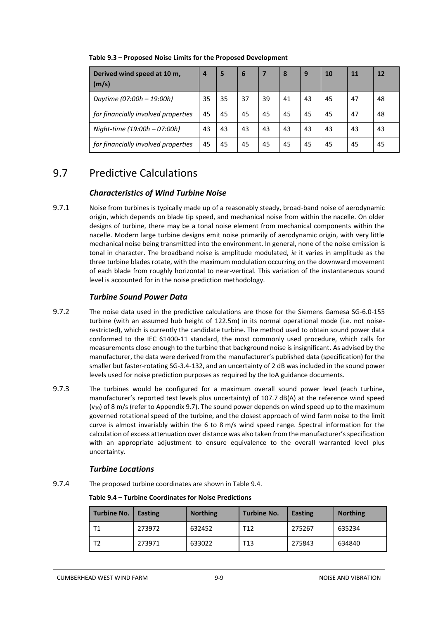| Derived wind speed at 10 m,<br>(m/s) | $\overline{a}$ | 5  | 6  | 7  | 8  | 9  | 10 | <b>11</b> | <b>12</b> |
|--------------------------------------|----------------|----|----|----|----|----|----|-----------|-----------|
| Daytime (07:00h - 19:00h)            | 35             | 35 | 37 | 39 | 41 | 43 | 45 | 47        | 48        |
| for financially involved properties  | 45             | 45 | 45 | 45 | 45 | 45 | 45 | 47        | 48        |
| Night-time (19:00h - 07:00h)         | 43             | 43 | 43 | 43 | 43 | 43 | 43 | 43        | 43        |
| for financially involved properties  | 45             | 45 | 45 | 45 | 45 | 45 | 45 | 45        | 45        |

**Table 9.3 – Proposed Noise Limits for the Proposed Development**

# <span id="page-10-0"></span>9.7 Predictive Calculations

#### *Characteristics of Wind Turbine Noise*

9.7.1 Noise from turbines is typically made up of a reasonably steady, broad-band noise of aerodynamic origin, which depends on blade tip speed, and mechanical noise from within the nacelle. On older designs of turbine, there may be a tonal noise element from mechanical components within the nacelle. Modern large turbine designs emit noise primarily of aerodynamic origin, with very little mechanical noise being transmitted into the environment. In general, none of the noise emission is tonal in character. The broadband noise is amplitude modulated, *ie* it varies in amplitude as the three turbine blades rotate, with the maximum modulation occurring on the downward movement of each blade from roughly horizontal to near-vertical. This variation of the instantaneous sound level is accounted for in the noise prediction methodology.

#### *Turbine Sound Power Data*

- 9.7.2 The noise data used in the predictive calculations are those for the Siemens Gamesa SG-6.0-155 turbine (with an assumed hub height of 122.5m) in its normal operational mode (i.e. not noiserestricted), which is currently the candidate turbine. The method used to obtain sound power data conformed to the IEC 61400-11 standard, the most commonly used procedure, which calls for measurements close enough to the turbine that background noise is insignificant. As advised by the manufacturer, the data were derived from the manufacturer's published data (specification) for the smaller but faster-rotating SG-3.4-132, and an uncertainty of 2 dB was included in the sound power levels used for noise prediction purposes as required by the IoA guidance documents.
- 9.7.3 The turbines would be configured for a maximum overall sound power level (each turbine, manufacturer's reported test levels plus uncertainty) of 107.7 dB(A) at the reference wind speed  $(v_{10})$  of 8 m/s (refer to Appendix 9.7). The sound power depends on wind speed up to the maximum governed rotational speed of the turbine, and the closest approach of wind farm noise to the limit curve is almost invariably within the 6 to 8 m/s wind speed range. Spectral information for the calculation of excess attenuation over distance was also taken from the manufacturer's specification with an appropriate adjustment to ensure equivalence to the overall warranted level plus uncertainty.

#### *Turbine Locations*

9.7.4 The proposed turbine coordinates are shown in Table 9.4.

| Turbine No. | <b>Easting</b> | <b>Northing</b> | <b>Turbine No.</b> | Easting | <b>Northing</b> |  |
|-------------|----------------|-----------------|--------------------|---------|-----------------|--|
| Τ1          | 273972         | 632452          | T12                | 275267  | 635234          |  |
| Т2          | 273971         | 633022          | T <sub>13</sub>    | 275843  | 634840          |  |

#### **Table 9.4 – Turbine Coordinates for Noise Predictions**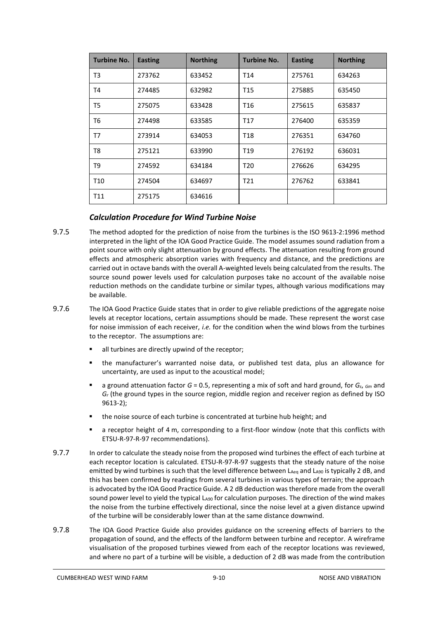| <b>Turbine No.</b> | <b>Easting</b> | <b>Northing</b> | <b>Turbine No.</b> | <b>Easting</b> | <b>Northing</b> |
|--------------------|----------------|-----------------|--------------------|----------------|-----------------|
| T <sub>3</sub>     | 273762         | 633452          | T14                | 275761         | 634263          |
| T4                 | 274485         | 632982          | T15                | 275885         | 635450          |
| T5                 | 275075         | 633428          | T16                | 275615         | 635837          |
| T6                 | 274498         | 633585          | T17                | 276400         | 635359          |
| T7                 | 273914         | 634053          | T18                | 276351         | 634760          |
| T8                 | 275121         | 633990          | T19                | 276192         | 636031          |
| T9                 | 274592         | 634184          | T <sub>20</sub>    | 276626         | 634295          |
| T <sub>10</sub>    | 274504         | 634697          | T <sub>21</sub>    | 276762         | 633841          |
| T11                | 275175         | 634616          |                    |                |                 |

#### *Calculation Procedure for Wind Turbine Noise*

- 9.7.5 The method adopted for the prediction of noise from the turbines is the ISO 9613-2:1996 method interpreted in the light of the IOA Good Practice Guide. The model assumes sound radiation from a point source with only slight attenuation by ground effects. The attenuation resulting from ground effects and atmospheric absorption varies with frequency and distance, and the predictions are carried out in octave bands with the overall A-weighted levels being calculated from the results. The source sound power levels used for calculation purposes take no account of the available noise reduction methods on the candidate turbine or similar types, although various modifications may be available.
- 9.7.6 The IOA Good Practice Guide states that in order to give reliable predictions of the aggregate noise levels at receptor locations, certain assumptions should be made. These represent the worst case for noise immission of each receiver, *i.e.* for the condition when the wind blows from the turbines to the receptor. The assumptions are:
	- all turbines are directly upwind of the receptor;
	- the manufacturer's warranted noise data, or published test data, plus an allowance for uncertainty, are used as input to the acoustical model;
	- **E** a ground attenuation factor  $G = 0.5$ , representing a mix of soft and hard ground, for  $G_s$ ,  $_{Gm}$  and *G<sup>r</sup>* (the ground types in the source region, middle region and receiver region as defined by ISO 9613-2);
	- the noise source of each turbine is concentrated at turbine hub height; and
	- a receptor height of 4 m, corresponding to a first-floor window (note that this conflicts with ETSU-R-97-R-97 recommendations).
- 9.7.7 In order to calculate the steady noise from the proposed wind turbines the effect of each turbine at each receptor location is calculated. ETSU-R-97-R-97 suggests that the steady nature of the noise emitted by wind turbines is such that the level difference between  $L_{Aeq}$  and  $L_{A90}$  is typically 2 dB, and this has been confirmed by readings from several turbines in various types of terrain; the approach is advocated by the IOA Good Practice Guide. A 2 dB deduction was therefore made from the overall sound power level to yield the typical LA90 for calculation purposes. The direction of the wind makes the noise from the turbine effectively directional, since the noise level at a given distance upwind of the turbine will be considerably lower than at the same distance downwind.
- 9.7.8 The IOA Good Practice Guide also provides guidance on the screening effects of barriers to the propagation of sound, and the effects of the landform between turbine and receptor. A wireframe visualisation of the proposed turbines viewed from each of the receptor locations was reviewed, and where no part of a turbine will be visible, a deduction of 2 dB was made from the contribution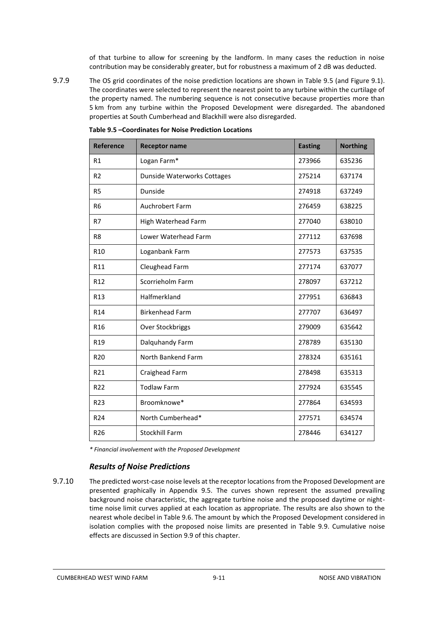of that turbine to allow for screening by the landform. In many cases the reduction in noise contribution may be considerably greater, but for robustness a maximum of 2 dB was deducted.

9.7.9 The OS grid coordinates of the noise prediction locations are shown in Table 9.5 (and Figure 9.1). The coordinates were selected to represent the nearest point to any turbine within the curtilage of the property named. The numbering sequence is not consecutive because properties more than 5 km from any turbine within the Proposed Development were disregarded. The abandoned properties at South Cumberhead and Blackhill were also disregarded.

| <b>Reference</b> | <b>Receptor name</b>        | <b>Easting</b> | <b>Northing</b> |
|------------------|-----------------------------|----------------|-----------------|
| R1               | Logan Farm*                 | 273966         | 635236          |
| R <sub>2</sub>   | Dunside Waterworks Cottages | 275214         | 637174          |
| R <sub>5</sub>   | Dunside                     | 274918         | 637249          |
| R <sub>6</sub>   | <b>Auchrobert Farm</b>      | 276459         | 638225          |
| R7               | High Waterhead Farm         | 277040         | 638010          |
| R <sub>8</sub>   | Lower Waterhead Farm        | 277112         | 637698          |
| R <sub>10</sub>  | Loganbank Farm              | 277573         | 637535          |
| R11              | Cleughead Farm              | 277174         | 637077          |
| R12              | Scorrieholm Farm            | 278097         | 637212          |
| R <sub>13</sub>  | Halfmerkland                | 277951         | 636843          |
| R <sub>14</sub>  | <b>Birkenhead Farm</b>      | 277707         | 636497          |
| R <sub>16</sub>  | Over Stockbriggs            | 279009         | 635642          |
| R <sub>19</sub>  | Dalquhandy Farm             | 278789         | 635130          |
| R20              | North Bankend Farm          | 278324         | 635161          |
| R21              | Craighead Farm              | 278498         | 635313          |
| R22              | <b>Todlaw Farm</b>          | 277924         | 635545          |
| R <sub>23</sub>  | Broomknowe*                 | 277864         | 634593          |
| R24              | North Cumberhead*           | 277571         | 634574          |
| R <sub>26</sub>  | Stockhill Farm              | 278446         | 634127          |

**Table 9.5 –Coordinates for Noise Prediction Locations**

*\* Financial involvement with the Proposed Development*

#### *Results of Noise Predictions*

9.7.10 The predicted worst-case noise levels at the receptor locations from the Proposed Development are presented graphically in Appendix 9.5. The curves shown represent the assumed prevailing background noise characteristic, the aggregate turbine noise and the proposed daytime or nighttime noise limit curves applied at each location as appropriate. The results are also shown to the nearest whole decibel in Table 9.6. The amount by which the Proposed Development considered in isolation complies with the proposed noise limits are presented in Table 9.9. Cumulative noise effects are discussed in Section 9.9 of this chapter.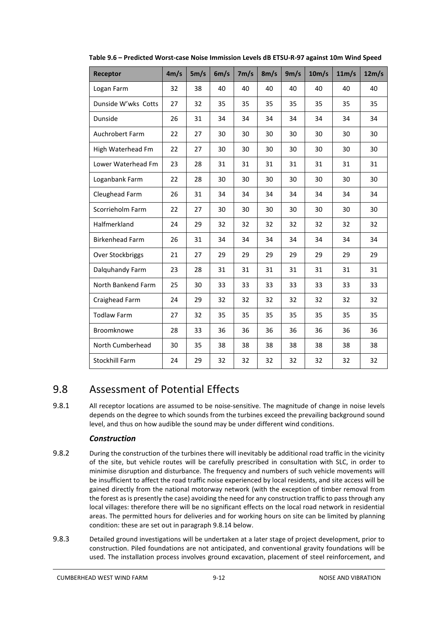| Receptor               | 4m/s | 5m/s | 6m/s | 7m/s | 8m/s | 9m/s | 10 <sub>m</sub> /s | 11m/s | 12m/s |
|------------------------|------|------|------|------|------|------|--------------------|-------|-------|
| Logan Farm             | 32   | 38   | 40   | 40   | 40   | 40   | 40                 | 40    | 40    |
| Dunside W'wks Cotts    | 27   | 32   | 35   | 35   | 35   | 35   | 35                 | 35    | 35    |
| Dunside                | 26   | 31   | 34   | 34   | 34   | 34   | 34                 | 34    | 34    |
| Auchrobert Farm        | 22   | 27   | 30   | 30   | 30   | 30   | 30                 | 30    | 30    |
| High Waterhead Fm      | 22   | 27   | 30   | 30   | 30   | 30   | 30                 | 30    | 30    |
| Lower Waterhead Fm     | 23   | 28   | 31   | 31   | 31   | 31   | 31                 | 31    | 31    |
| Loganbank Farm         | 22   | 28   | 30   | 30   | 30   | 30   | 30                 | 30    | 30    |
| Cleughead Farm         | 26   | 31   | 34   | 34   | 34   | 34   | 34                 | 34    | 34    |
| Scorrieholm Farm       | 22   | 27   | 30   | 30   | 30   | 30   | 30                 | 30    | 30    |
| Halfmerkland           | 24   | 29   | 32   | 32   | 32   | 32   | 32                 | 32    | 32    |
| <b>Birkenhead Farm</b> | 26   | 31   | 34   | 34   | 34   | 34   | 34                 | 34    | 34    |
| Over Stockbriggs       | 21   | 27   | 29   | 29   | 29   | 29   | 29                 | 29    | 29    |
| Dalquhandy Farm        | 23   | 28   | 31   | 31   | 31   | 31   | 31                 | 31    | 31    |
| North Bankend Farm     | 25   | 30   | 33   | 33   | 33   | 33   | 33                 | 33    | 33    |
| Craighead Farm         | 24   | 29   | 32   | 32   | 32   | 32   | 32                 | 32    | 32    |
| <b>Todlaw Farm</b>     | 27   | 32   | 35   | 35   | 35   | 35   | 35                 | 35    | 35    |
| Broomknowe             | 28   | 33   | 36   | 36   | 36   | 36   | 36                 | 36    | 36    |
| North Cumberhead       | 30   | 35   | 38   | 38   | 38   | 38   | 38                 | 38    | 38    |
| <b>Stockhill Farm</b>  | 24   | 29   | 32   | 32   | 32   | 32   | 32                 | 32    | 32    |

**Table 9.6 – Predicted Worst-case Noise Immission Levels dB ETSU-R-97 against 10m Wind Speed** 

# <span id="page-13-0"></span>9.8 Assessment of Potential Effects

9.8.1 All receptor locations are assumed to be noise-sensitive. The magnitude of change in noise levels depends on the degree to which sounds from the turbines exceed the prevailing background sound level, and thus on how audible the sound may be under different wind conditions.

#### *Construction*

- 9.8.2 During the construction of the turbines there will inevitably be additional road traffic in the vicinity of the site, but vehicle routes will be carefully prescribed in consultation with SLC, in order to minimise disruption and disturbance. The frequency and numbers of such vehicle movements will be insufficient to affect the road traffic noise experienced by local residents, and site access will be gained directly from the national motorway network (with the exception of timber removal from the forest as is presently the case) avoiding the need for any construction traffic to pass through any local villages: therefore there will be no significant effects on the local road network in residential areas. The permitted hours for deliveries and for working hours on site can be limited by planning condition: these are set out in paragraph 9.8.14 below.
- 9.8.3 Detailed ground investigations will be undertaken at a later stage of project development, prior to construction. Piled foundations are not anticipated, and conventional gravity foundations will be used. The installation process involves ground excavation, placement of steel reinforcement, and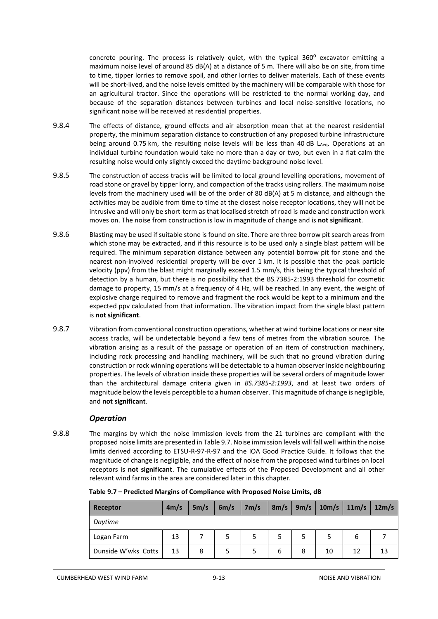concrete pouring. The process is relatively quiet, with the typical  $360^{\circ}$  excavator emitting a maximum noise level of around 85 dB(A) at a distance of 5 m. There will also be on site, from time to time, tipper lorries to remove spoil, and other lorries to deliver materials. Each of these events will be short-lived, and the noise levels emitted by the machinery will be comparable with those for an agricultural tractor. Since the operations will be restricted to the normal working day, and because of the separation distances between turbines and local noise-sensitive locations, no significant noise will be received at residential properties.

- 9.8.4 The effects of distance, ground effects and air absorption mean that at the nearest residential property, the minimum separation distance to construction of any proposed turbine infrastructure being around 0.75 km, the resulting noise levels will be less than 40 dB LAeq. Operations at an individual turbine foundation would take no more than a day or two, but even in a flat calm the resulting noise would only slightly exceed the daytime background noise level.
- 9.8.5 The construction of access tracks will be limited to local ground levelling operations, movement of road stone or gravel by tipper lorry, and compaction of the tracks using rollers. The maximum noise levels from the machinery used will be of the order of 80 dB(A) at 5 m distance, and although the activities may be audible from time to time at the closest noise receptor locations, they will not be intrusive and will only be short-term as that localised stretch of road is made and construction work moves on. The noise from construction is low in magnitude of change and is **not significant**.
- 9.8.6 Blasting may be used if suitable stone is found on site. There are three borrow pit search areas from which stone may be extracted, and if this resource is to be used only a single blast pattern will be required. The minimum separation distance between any potential borrow pit for stone and the nearest non-involved residential property will be over 1 km. It is possible that the peak particle velocity (ppv) from the blast might marginally exceed 1.5 mm/s, this being the typical threshold of detection by a human, but there is no possibility that the BS.7385-2:1993 threshold for cosmetic damage to property, 15 mm/s at a frequency of 4 Hz, will be reached. In any event, the weight of explosive charge required to remove and fragment the rock would be kept to a minimum and the expected ppv calculated from that information. The vibration impact from the single blast pattern is **not significant**.
- 9.8.7 Vibration from conventional construction operations, whether at wind turbine locations or near site access tracks, will be undetectable beyond a few tens of metres from the vibration source. The vibration arising as a result of the passage or operation of an item of construction machinery, including rock processing and handling machinery, will be such that no ground vibration during construction or rock winning operations will be detectable to a human observer inside neighbouring properties. The levels of vibration inside these properties will be several orders of magnitude lower than the architectural damage criteria given in *BS.7385-2:1993*, and at least two orders of magnitude below the levels perceptible to a human observer. This magnitude of change is negligible, and **not significant**.

#### *Operation*

9.8.8 The margins by which the noise immission levels from the 21 turbines are compliant with the proposed noise limits are presented in Table 9.7. Noise immission levels will fall well within the noise limits derived according to ETSU-R-97-R-97 and the IOA Good Practice Guide. It follows that the magnitude of change is negligible, and the effect of noise from the proposed wind turbines on local receptors is **not significant**. The cumulative effects of the Proposed Development and all other relevant wind farms in the area are considered later in this chapter.

| Receptor            | 4m/s | 5m/s | 6m/s | 7m/s |   |   | $8m/s$   9m/s   10m/s | 11m/s | 12m/s |
|---------------------|------|------|------|------|---|---|-----------------------|-------|-------|
| Daytime             |      |      |      |      |   |   |                       |       |       |
| Logan Farm          | 13   |      |      |      |   | 5 |                       | 6     |       |
| Dunside W'wks Cotts | 13   | 8    |      | 5    | 6 | 8 | 10                    | 12    | 13    |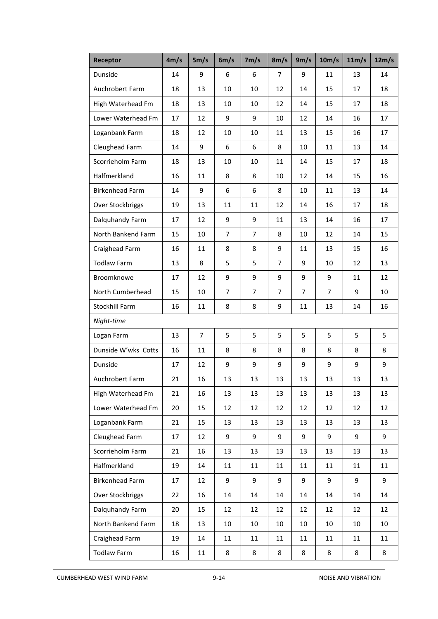| Receptor               | 4m/s | 5m/s           | 6m/s           | 7m/s           | 8m/s           | 9m/s           | 10 <sub>m</sub> /s | 11m/s | 12m/s |
|------------------------|------|----------------|----------------|----------------|----------------|----------------|--------------------|-------|-------|
| Dunside                | 14   | 9              | 6              | 6              | 7              | 9              | 11                 | 13    | 14    |
| Auchrobert Farm        | 18   | 13             | 10             | 10             | 12             | 14             | 15                 | 17    | 18    |
| High Waterhead Fm      | 18   | 13             | 10             | 10             | 12             | 14             | 15                 | 17    | 18    |
| Lower Waterhead Fm     | 17   | 12             | 9              | 9              | 10             | 12             | 14                 | 16    | 17    |
| Loganbank Farm         | 18   | 12             | 10             | 10             | 11             | 13             | 15                 | 16    | 17    |
| Cleughead Farm         | 14   | 9              | 6              | 6              | 8              | 10             | 11                 | 13    | 14    |
| Scorrieholm Farm       | 18   | 13             | 10             | 10             | 11             | 14             | 15                 | 17    | 18    |
| Halfmerkland           | 16   | 11             | 8              | 8              | 10             | 12             | 14                 | 15    | 16    |
| <b>Birkenhead Farm</b> | 14   | 9              | 6              | 6              | 8              | 10             | 11                 | 13    | 14    |
| Over Stockbriggs       | 19   | 13             | 11             | 11             | 12             | 14             | 16                 | 17    | 18    |
| Dalquhandy Farm        | 17   | 12             | 9              | 9              | 11             | 13             | 14                 | 16    | 17    |
| North Bankend Farm     | 15   | 10             | $\overline{7}$ | $\overline{7}$ | 8              | 10             | 12                 | 14    | 15    |
| Craighead Farm         | 16   | 11             | 8              | 8              | 9              | 11             | 13                 | 15    | 16    |
| <b>Todlaw Farm</b>     | 13   | 8              | 5              | 5              | $\overline{7}$ | 9              | 10                 | 12    | 13    |
| Broomknowe             | 17   | 12             | 9              | 9              | 9              | 9              | 9                  | 11    | 12    |
| North Cumberhead       | 15   | 10             | $\overline{7}$ | $\overline{7}$ | $\overline{7}$ | $\overline{7}$ | $\overline{7}$     | 9     | 10    |
| Stockhill Farm         | 16   | 11             | 8              | 8              | 9              | 11             | 13                 | 14    | 16    |
| Night-time             |      |                |                |                |                |                |                    |       |       |
| Logan Farm             | 13   | $\overline{7}$ | 5              | 5              | 5              | 5              | 5                  | 5     | 5     |
| Dunside W'wks Cotts    | 16   | 11             | 8              | 8              | 8              | 8              | 8                  | 8     | 8     |
| Dunside                | 17   | 12             | 9              | 9              | 9              | 9              | 9                  | 9     | 9     |
| Auchrobert Farm        | 21   | 16             | 13             | 13             | 13             | 13             | 13                 | 13    | 13    |
| High Waterhead Fm      | 21   | 16             | 13             | 13             | 13             | 13             | 13                 | 13    | 13    |
| Lower Waterhead Fm     | 20   | 15             | 12             | 12             | 12             | 12             | 12                 | 12    | 12    |
| Loganbank Farm         | 21   | 15             | 13             | 13             | 13             | 13             | 13                 | 13    | 13    |
| Cleughead Farm         | 17   | 12             | 9              | 9              | 9              | 9              | 9                  | 9     | 9     |
| Scorrieholm Farm       | 21   | 16             | 13             | 13             | 13             | 13             | 13                 | 13    | 13    |
| Halfmerkland           | 19   | 14             | 11             | 11             | 11             | 11             | 11                 | 11    | 11    |
| <b>Birkenhead Farm</b> | 17   | 12             | 9              | 9              | 9              | 9              | 9                  | 9     | 9     |
| Over Stockbriggs       | 22   | 16             | 14             | 14             | 14             | 14             | 14                 | 14    | 14    |
| Dalquhandy Farm        | 20   | 15             | 12             | 12             | 12             | 12             | 12                 | 12    | 12    |
| North Bankend Farm     | 18   | 13             | 10             | 10             | 10             | 10             | 10                 | 10    | 10    |
| Craighead Farm         | 19   | 14             | 11             | 11             | 11             | 11             | 11                 | 11    | 11    |
| <b>Todlaw Farm</b>     | 16   | 11             | 8              | 8              | 8              | 8              | 8                  | 8     | 8     |

CUMBERHEAD WEST WIND FARM 9-14 9-14 9-14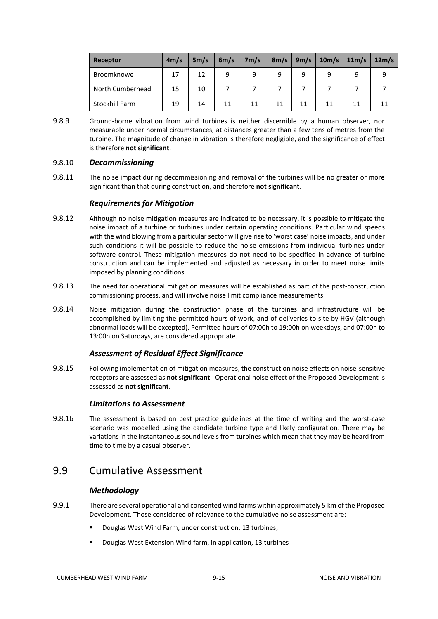| Receptor         | 4m/s | 5m/s | 6m/s | 7m/s |    |    | $8m/s$   9m/s   10m/s   11m/s | 12m/s |
|------------------|------|------|------|------|----|----|-------------------------------|-------|
| Broomknowe       | 17   | 12   | 9    | 9    | 9  | 9  | 9                             |       |
| North Cumberhead | 15   | 10   |      |      |    |    |                               |       |
| Stockhill Farm   | 19   | 14   | 11   | 11   | 11 | 11 | 11                            |       |

9.8.9 Ground-borne vibration from wind turbines is neither discernible by a human observer, nor measurable under normal circumstances, at distances greater than a few tens of metres from the turbine. The magnitude of change in vibration is therefore negligible, and the significance of effect is therefore **not significant**.

#### 9.8.10 *Decommissioning*

9.8.11 The noise impact during decommissioning and removal of the turbines will be no greater or more significant than that during construction, and therefore **not significant**.

#### *Requirements for Mitigation*

- 9.8.12 Although no noise mitigation measures are indicated to be necessary, it is possible to mitigate the noise impact of a turbine or turbines under certain operating conditions. Particular wind speeds with the wind blowing from a particular sector will give rise to 'worst case' noise impacts, and under such conditions it will be possible to reduce the noise emissions from individual turbines under software control. These mitigation measures do not need to be specified in advance of turbine construction and can be implemented and adjusted as necessary in order to meet noise limits imposed by planning conditions.
- 9.8.13 The need for operational mitigation measures will be established as part of the post-construction commissioning process, and will involve noise limit compliance measurements.
- 9.8.14 Noise mitigation during the construction phase of the turbines and infrastructure will be accomplished by limiting the permitted hours of work, and of deliveries to site by HGV (although abnormal loads will be excepted). Permitted hours of 07:00h to 19:00h on weekdays, and 07:00h to 13:00h on Saturdays, are considered appropriate.

#### *Assessment of Residual Effect Significance*

9.8.15 Following implementation of mitigation measures, the construction noise effects on noise-sensitive receptors are assessed as **not significant**. Operational noise effect of the Proposed Development is assessed as **not significant**.

#### *Limitations to Assessment*

9.8.16 The assessment is based on best practice guidelines at the time of writing and the worst-case scenario was modelled using the candidate turbine type and likely configuration. There may be variations in the instantaneous sound levels from turbines which mean that they may be heard from time to time by a casual observer.

### <span id="page-16-0"></span>9.9 Cumulative Assessment

#### *Methodology*

- 9.9.1 There are several operational and consented wind farms within approximately 5 km of the Proposed Development. Those considered of relevance to the cumulative noise assessment are:
	- Douglas West Wind Farm, under construction, 13 turbines;
	- Douglas West Extension Wind farm, in application, 13 turbines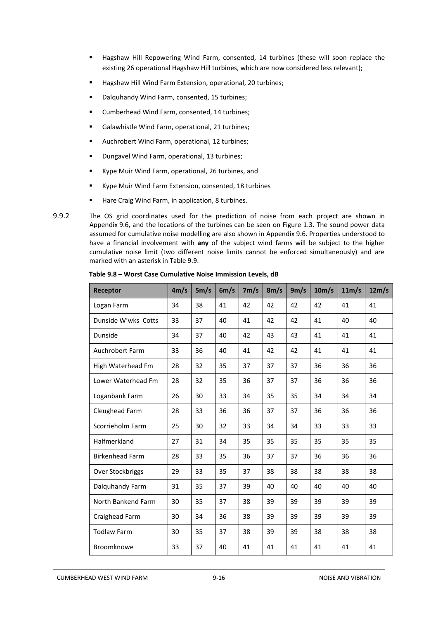- Hagshaw Hill Repowering Wind Farm, consented, 14 turbines (these will soon replace the existing 26 operational Hagshaw Hill turbines, which are now considered less relevant);
- Hagshaw Hill Wind Farm Extension, operational, 20 turbines;
- Dalquhandy Wind Farm, consented, 15 turbines;
- Cumberhead Wind Farm, consented, 14 turbines;
- Galawhistle Wind Farm, operational, 21 turbines;
- Auchrobert Wind Farm, operational, 12 turbines;
- Dungavel Wind Farm, operational, 13 turbines;
- Kype Muir Wind Farm, operational, 26 turbines, and
- Kype Muir Wind Farm Extension, consented, 18 turbines
- Hare Craig Wind Farm, in application, 8 turbines.
- 9.9.2 The OS grid coordinates used for the prediction of noise from each project are shown in Appendix 9.6, and the locations of the turbines can be seen on Figure 1.3. The sound power data assumed for cumulative noise modelling are also shown in Appendix 9.6. Properties understood to have a financial involvement with **any** of the subject wind farms will be subject to the higher cumulative noise limit (two different noise limits cannot be enforced simultaneously) and are marked with an asterisk in Table 9.9.

| Receptor               | 4m/s | 5m/s | 6m/s | 7m/s | 8m/s | 9m/s | 10 <sub>m</sub> /s | 11m/s | 12m/s |
|------------------------|------|------|------|------|------|------|--------------------|-------|-------|
| Logan Farm             | 34   | 38   | 41   | 42   | 42   | 42   | 42                 | 41    | 41    |
| Dunside W'wks Cotts    | 33   | 37   | 40   | 41   | 42   | 42   | 41                 | 40    | 40    |
| Dunside                | 34   | 37   | 40   | 42   | 43   | 43   | 41                 | 41    | 41    |
| <b>Auchrobert Farm</b> | 33   | 36   | 40   | 41   | 42   | 42   | 41                 | 41    | 41    |
| High Waterhead Fm      | 28   | 32   | 35   | 37   | 37   | 37   | 36                 | 36    | 36    |
| Lower Waterhead Fm     | 28   | 32   | 35   | 36   | 37   | 37   | 36                 | 36    | 36    |
| Loganbank Farm         | 26   | 30   | 33   | 34   | 35   | 35   | 34                 | 34    | 34    |
| Cleughead Farm         | 28   | 33   | 36   | 36   | 37   | 37   | 36                 | 36    | 36    |
| Scorrieholm Farm       | 25   | 30   | 32   | 33   | 34   | 34   | 33                 | 33    | 33    |
| Halfmerkland           | 27   | 31   | 34   | 35   | 35   | 35   | 35                 | 35    | 35    |
| <b>Birkenhead Farm</b> | 28   | 33   | 35   | 36   | 37   | 37   | 36                 | 36    | 36    |
| Over Stockbriggs       | 29   | 33   | 35   | 37   | 38   | 38   | 38                 | 38    | 38    |
| Dalquhandy Farm        | 31   | 35   | 37   | 39   | 40   | 40   | 40                 | 40    | 40    |
| North Bankend Farm     | 30   | 35   | 37   | 38   | 39   | 39   | 39                 | 39    | 39    |
| Craighead Farm         | 30   | 34   | 36   | 38   | 39   | 39   | 39                 | 39    | 39    |
| <b>Todlaw Farm</b>     | 30   | 35   | 37   | 38   | 39   | 39   | 38                 | 38    | 38    |
| Broomknowe             | 33   | 37   | 40   | 41   | 41   | 41   | 41                 | 41    | 41    |

**Table 9.8 – Worst Case Cumulative Noise Immission Levels, dB**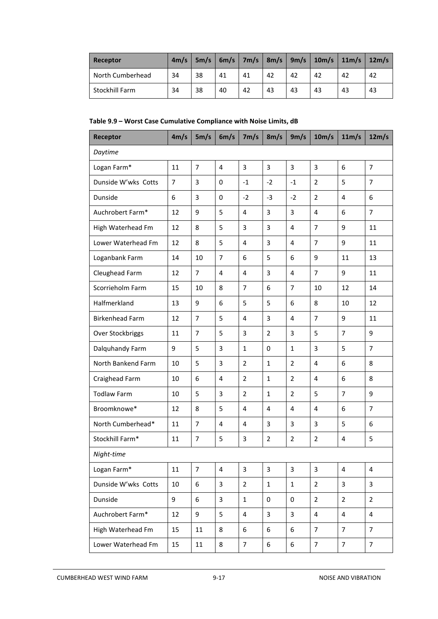| Receptor         | 4m/s | 5m/s | 6m/s |    |    |    | $7m/s$   8m/s   9m/s   10m/s | 11m/s | 12m/s |
|------------------|------|------|------|----|----|----|------------------------------|-------|-------|
| North Cumberhead | 34   | 38   | 41   | 41 | 42 | 42 | 42                           | 42    | 42    |
| Stockhill Farm   | 34   | 38   | 40   | 42 | 43 | 43 | 43                           | 43    | 43    |

#### **Table 9.9 – Worst Case Cumulative Compliance with Noise Limits, dB**

| Receptor               | 4m/s           | 5m/s           | 6m/s           | 7m/s           | 8m/s           | 9m/s           | 10 <sub>m</sub> /s | 11m/s          | 12m/s          |
|------------------------|----------------|----------------|----------------|----------------|----------------|----------------|--------------------|----------------|----------------|
| Daytime                |                |                |                |                |                |                |                    |                |                |
| Logan Farm*            | 11             | $\overline{7}$ | 4              | 3              | 3              | 3              | 3                  | 6              | $\overline{7}$ |
| Dunside W'wks Cotts    | $\overline{7}$ | 3              | 0              | $-1$           | $-2$           | $-1$           | $\overline{2}$     | 5              | 7              |
| Dunside                | 6              | 3              | 0              | $-2$           | $-3$           | $-2$           | $\overline{2}$     | 4              | 6              |
| Auchrobert Farm*       | 12             | 9              | 5              | 4              | 3              | 3              | 4                  | 6              | $\overline{7}$ |
| High Waterhead Fm      | 12             | 8              | 5              | 3              | 3              | 4              | 7                  | 9              | 11             |
| Lower Waterhead Fm     | 12             | 8              | 5              | 4              | 3              | 4              | $\overline{7}$     | 9              | 11             |
| Loganbank Farm         | 14             | 10             | $\overline{7}$ | 6              | 5              | 6              | 9                  | 11             | 13             |
| Cleughead Farm         | 12             | $\overline{7}$ | 4              | 4              | 3              | 4              | 7                  | 9              | 11             |
| Scorrieholm Farm       | 15             | 10             | 8              | 7              | 6              | 7              | 10                 | 12             | 14             |
| Halfmerkland           | 13             | 9              | 6              | 5              | 5              | 6              | 8                  | 10             | 12             |
| <b>Birkenhead Farm</b> | 12             | $\overline{7}$ | 5              | 4              | 3              | 4              | $\overline{7}$     | 9              | 11             |
| Over Stockbriggs       | 11             | $\overline{7}$ | 5              | 3              | $\overline{2}$ | 3              | 5                  | $\overline{7}$ | 9              |
| Dalquhandy Farm        | 9              | 5              | 3              | $\mathbf{1}$   | 0              | $\mathbf{1}$   | 3                  | 5              | $\overline{7}$ |
| North Bankend Farm     | 10             | 5              | 3              | $\overline{2}$ | $\mathbf{1}$   | 2              | 4                  | 6              | 8              |
| Craighead Farm         | 10             | 6              | 4              | 2              | $\mathbf{1}$   | 2              | 4                  | 6              | 8              |
| <b>Todlaw Farm</b>     | 10             | 5              | 3              | $\overline{2}$ | $\mathbf{1}$   | $\overline{2}$ | 5                  | 7              | 9              |
| Broomknowe*            | 12             | 8              | 5              | 4              | $\overline{4}$ | $\overline{4}$ | 4                  | 6              | $\overline{7}$ |
| North Cumberhead*      | 11             | $\overline{7}$ | 4              | 4              | 3              | 3              | 3                  | 5              | 6              |
| Stockhill Farm*        | 11             | $\overline{7}$ | 5              | 3              | $\overline{2}$ | $\overline{2}$ | $\overline{2}$     | 4              | 5              |
| Night-time             |                |                |                |                |                |                |                    |                |                |
| Logan Farm*            | 11             | $\overline{7}$ | 4              | 3              | 3              | 3              | $\overline{3}$     | 4              | 4              |
| Dunside W'wks Cotts    | 10             | 6              | 3              | $\overline{2}$ | $\mathbf{1}$   | $\mathbf{1}$   | $\overline{2}$     | 3              | 3              |
| Dunside                | 9              | 6              | 3              | $\mathbf{1}$   | 0              | 0              | $\overline{2}$     | $\overline{2}$ | $\overline{2}$ |
| Auchrobert Farm*       | 12             | 9              | 5              | 4              | 3              | 3              | $\overline{4}$     | 4              | $\overline{4}$ |
| High Waterhead Fm      | 15             | 11             | 8              | 6              | 6              | 6              | $\overline{7}$     | $\overline{7}$ | $\overline{7}$ |
| Lower Waterhead Fm     | 15             | 11             | 8              | $\overline{7}$ | 6              | 6              | $\overline{7}$     | $\overline{7}$ | $\overline{7}$ |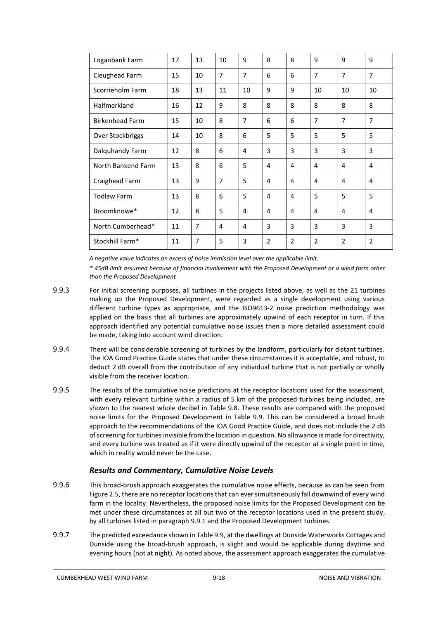| Loganbank Farm         | 17 | 13             | 10             | 9              | 8              | 8              | 9              | 9              | 9              |
|------------------------|----|----------------|----------------|----------------|----------------|----------------|----------------|----------------|----------------|
| Cleughead Farm         | 15 | 10             | 7              | $\overline{7}$ | 6              | 6              | $\overline{7}$ | $\overline{7}$ | 7              |
| Scorrieholm Farm       | 18 | 13             | 11             | 10             | 9              | 9              | 10             | 10             | 10             |
| Halfmerkland           | 16 | 12             | 9              | 8              | 8              | 8              | 8              | 8              | 8              |
| <b>Birkenhead Farm</b> | 15 | 10             | 8              | 7              | 6              | 6              | $\overline{7}$ | $\overline{7}$ | 7              |
| Over Stockbriggs       | 14 | 10             | 8              | 6              | 5              | 5              | 5              | 5              | 5              |
| Dalquhandy Farm        | 12 | 8              | 6              | 4              | 3              | 3              | 3              | 3              | 3              |
| North Bankend Farm     | 13 | 8              | 6              | 5              | 4              | 4              | 4              | 4              | 4              |
| Craighead Farm         | 13 | 9              | $\overline{7}$ | 5              | 4              | 4              | 4              | 4              | 4              |
| <b>Todlaw Farm</b>     | 13 | 8              | 6              | 5              | 4              | 4              | 5              | 5              | 5              |
| Broomknowe*            | 12 | 8              | 5              | 4              | 4              | 4              | 4              | 4              | 4              |
| North Cumberhead*      | 11 | $\overline{7}$ | 4              | 4              | 3              | 3              | 3              | 3              | 3              |
| Stockhill Farm*        | 11 | 7              | 5              | 3              | $\overline{2}$ | $\overline{2}$ | 2              | $\overline{2}$ | $\overline{2}$ |

*A negative value indicates an excess of noise immission level over the applicable limit.* 

*\* 45dB limit assumed because of financial involvement with the Proposed Development or a wind farm other than the Proposed Development*

- 9.9.3 For initial screening purposes, all turbines in the projects listed above, as well as the 21 turbines making up the Proposed Development, were regarded as a single development using various different turbine types as appropriate, and the ISO9613-2 noise prediction methodology was applied on the basis that all turbines are approximately upwind of each receptor in turn. If this approach identified any potential cumulative noise issues then a more detailed assessment could be made, taking into account wind direction.
- 9.9.4 There will be considerable screening of turbines by the landform, particularly for distant turbines. The IOA Good Practice Guide states that under these circumstances it is acceptable, and robust, to deduct 2 dB overall from the contribution of any individual turbine that is not partially or wholly visible from the receiver location.
- 9.9.5 The results of the cumulative noise predictions at the receptor locations used for the assessment, with every relevant turbine within a radius of 5 km of the proposed turbines being included, are shown to the nearest whole decibel in Table 9.8. These results are compared with the proposed noise limits for the Proposed Development in Table 9.9. This can be considered a broad brush approach to the recommendations of the IOA Good Practice Guide, and does not include the 2 dB of screening for turbinesinvisible from the location in question. No allowance is made for directivity, and every turbine was treated as if it were directly upwind of the receptor at a single point in time, which in reality would never be the case.

#### *Results and Commentary, Cumulative Noise Levels*

- 9.9.6 This broad-brush approach exaggerates the cumulative noise effects, because as can be seen from Figure 2.5, there are no receptor locations that can ever simultaneously fall downwind of every wind farm in the locality. Nevertheless, the proposed noise limits for the Proposed Development can be met under these circumstances at all but two of the receptor locations used in the present study, by all turbines listed in paragraph 9.9.1 and the Proposed Development turbines.
- 9.9.7 The predicted exceedance shown in Table 9.9, at the dwellings at Dunside Waterworks Cottages and Dunside using the broad-brush approach, is slight and would be applicable during daytime and evening hours (not at night). As noted above, the assessment approach exaggerates the cumulative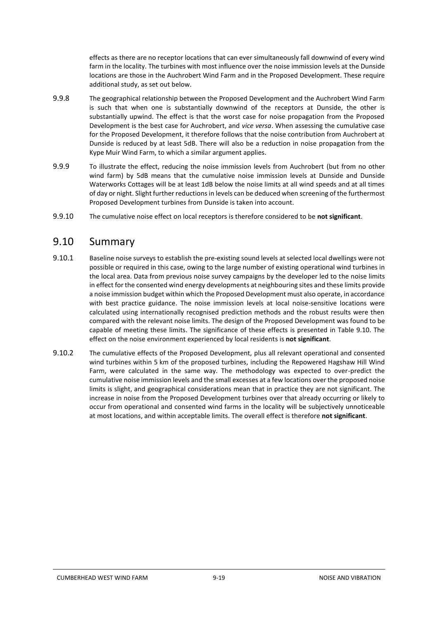effects as there are no receptor locations that can ever simultaneously fall downwind of every wind farm in the locality. The turbines with most influence over the noise immission levels at the Dunside locations are those in the Auchrobert Wind Farm and in the Proposed Development. These require additional study, as set out below.

- 9.9.8 The geographical relationship between the Proposed Development and the Auchrobert Wind Farm is such that when one is substantially downwind of the receptors at Dunside, the other is substantially upwind. The effect is that the worst case for noise propagation from the Proposed Development is the best case for Auchrobert, and *vice versa*. When assessing the cumulative case for the Proposed Development, it therefore follows that the noise contribution from Auchrobert at Dunside is reduced by at least 5dB. There will also be a reduction in noise propagation from the Kype Muir Wind Farm, to which a similar argument applies.
- 9.9.9 To illustrate the effect, reducing the noise immission levels from Auchrobert (but from no other wind farm) by 5dB means that the cumulative noise immission levels at Dunside and Dunside Waterworks Cottages will be at least 1dB below the noise limits at all wind speeds and at all times of day or night. Slight further reductions in levels can be deduced when screening of the furthermost Proposed Development turbines from Dunside is taken into account.
- 9.9.10 The cumulative noise effect on local receptors is therefore considered to be **not significant**.

## <span id="page-20-0"></span>9.10 Summary

- 9.10.1 Baseline noise surveys to establish the pre-existing sound levels at selected local dwellings were not possible or required in this case, owing to the large number of existing operational wind turbines in the local area. Data from previous noise survey campaigns by the developer led to the noise limits in effect for the consented wind energy developments at neighbouring sites and these limits provide a noise immission budget within which the Proposed Development must also operate, in accordance with best practice guidance. The noise immission levels at local noise-sensitive locations were calculated using internationally recognised prediction methods and the robust results were then compared with the relevant noise limits. The design of the Proposed Development was found to be capable of meeting these limits. The significance of these effects is presented in Table 9.10. The effect on the noise environment experienced by local residents is **not significant**.
- 9.10.2 The cumulative effects of the Proposed Development, plus all relevant operational and consented wind turbines within 5 km of the proposed turbines, including the Repowered Hagshaw Hill Wind Farm, were calculated in the same way. The methodology was expected to over-predict the cumulative noise immission levels and the small excesses at a few locations over the proposed noise limits is slight, and geographical considerations mean that in practice they are not significant. The increase in noise from the Proposed Development turbines over that already occurring or likely to occur from operational and consented wind farms in the locality will be subjectively unnoticeable at most locations, and within acceptable limits. The overall effect is therefore **not significant**.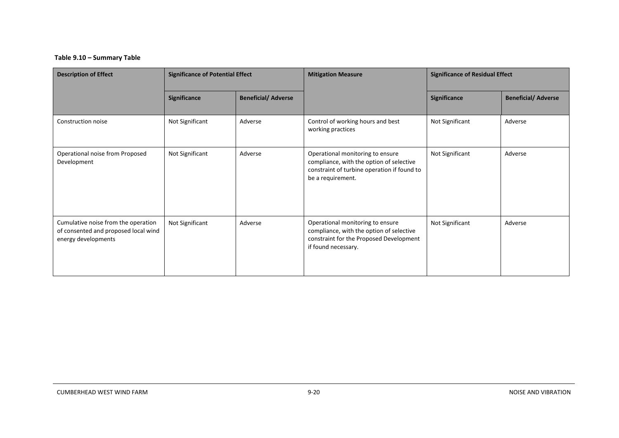#### **Table 9.10 – Summary Table**

| <b>Description of Effect</b>                                                                       | <b>Significance of Potential Effect</b> |                            | <b>Mitigation Measure</b>                                                                                                                        | <b>Significance of Residual Effect</b> |                            |  |
|----------------------------------------------------------------------------------------------------|-----------------------------------------|----------------------------|--------------------------------------------------------------------------------------------------------------------------------------------------|----------------------------------------|----------------------------|--|
|                                                                                                    | Significance                            | <b>Beneficial/ Adverse</b> |                                                                                                                                                  | Significance                           | <b>Beneficial/ Adverse</b> |  |
| Construction noise                                                                                 | Not Significant                         | Adverse                    | Control of working hours and best<br>working practices                                                                                           | Not Significant                        | Adverse                    |  |
| Operational noise from Proposed<br>Development                                                     | Not Significant                         | Adverse                    | Operational monitoring to ensure<br>compliance, with the option of selective<br>constraint of turbine operation if found to<br>be a requirement. | Not Significant                        | Adverse                    |  |
| Cumulative noise from the operation<br>of consented and proposed local wind<br>energy developments | Not Significant                         | Adverse                    | Operational monitoring to ensure<br>compliance, with the option of selective<br>constraint for the Proposed Development<br>if found necessary.   | Not Significant                        | Adverse                    |  |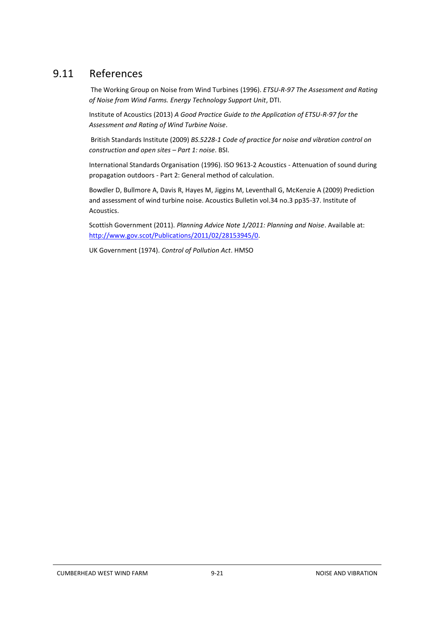# <span id="page-22-0"></span>9.11 References

The Working Group on Noise from Wind Turbines (1996). *ETSU-R-97 The Assessment and Rating of Noise from Wind Farms. Energy Technology Support Unit*, DTI.

Institute of Acoustics (2013) *A Good Practice Guide to the Application of ETSU-R-97 for the Assessment and Rating of Wind Turbine Noise*.

British Standards Institute (2009) *BS.5228-1 Code of practice for noise and vibration control on construction and open sites – Part 1: noise*. BSI.

International Standards Organisation (1996). ISO 9613-2 Acoustics - Attenuation of sound during propagation outdoors - Part 2: General method of calculation.

Bowdler D, Bullmore A, Davis R, Hayes M, Jiggins M, Leventhall G, McKenzie A (2009) Prediction and assessment of wind turbine noise. Acoustics Bulletin vol.34 no.3 pp35-37. Institute of Acoustics.

Scottish Government (2011). *Planning Advice Note 1/2011: Planning and Noise*. Available at: [http://www.gov.scot/Publications/2011/02/28153945/0.](http://www.gov.scot/Publications/2011/02/28153945/0)

UK Government (1974). *Control of Pollution Act*. HMSO